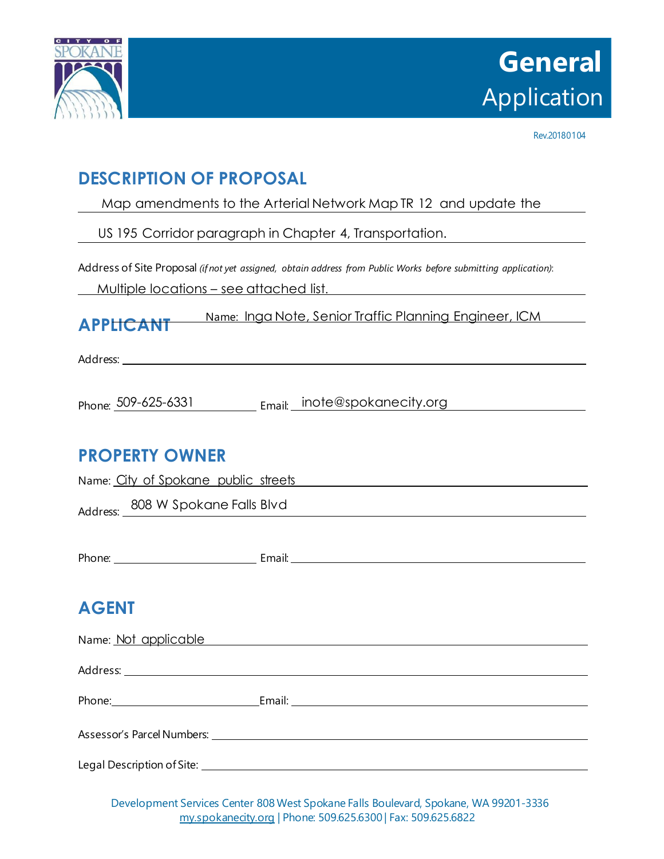

Rev.20180104

# **DESCRIPTION OF PROPOSAL**

Map amendments to the Arterial Network Map TR 12 and update the

US 195 Corridor paragraph in Chapter 4, Transportation.

Address of Site Proposal *(if not yet assigned, obtain address from Public Works before submitting application)*:

Multiple locations – see attached list.

**APPLICANT** Name: Inga Note, Senior Traffic Planning Engineer, ICM

Address:

|  | Phone: 509-625-6331 |  | Email: inote@spokanecity.org |
|--|---------------------|--|------------------------------|
|--|---------------------|--|------------------------------|

## **PROPERTY OWNER**

| Name: City of Spokane public streets | <u> 1980 - Johann John Stein, marwolaethau (b. 1980)</u>                                                                                                                                                                       |
|--------------------------------------|--------------------------------------------------------------------------------------------------------------------------------------------------------------------------------------------------------------------------------|
| Address: 808 W Spokane Falls Blvd    |                                                                                                                                                                                                                                |
|                                      |                                                                                                                                                                                                                                |
|                                      |                                                                                                                                                                                                                                |
|                                      |                                                                                                                                                                                                                                |
| <b>AGENT</b>                         |                                                                                                                                                                                                                                |
|                                      | Name: Not applicable Manual Annual Annual Annual Annual Annual Annual Annual Annual Annual Annual Annual Annu                                                                                                                  |
|                                      |                                                                                                                                                                                                                                |
|                                      | Phone: Email: Email: Email: Email: Email: Email: Email: Email: Email: Email: Email: Email: Email: Email: Email: Email: Email: Email: Email: Email: Email: Email: Email: Email: Email: Email: Email: Email: Email: Email: Email |
|                                      | Assessor's Parcel Numbers: National Assessor's Parcel Numbers:                                                                                                                                                                 |
|                                      |                                                                                                                                                                                                                                |

Legal Description of Site:

Development Services Center 808 West Spokane Falls Boulevard, Spokane, WA 99201-3336 [my.spokanecity.org](http://www.spokanecity.org/) | Phone: 509.625.6300 | Fax: 509.625.6822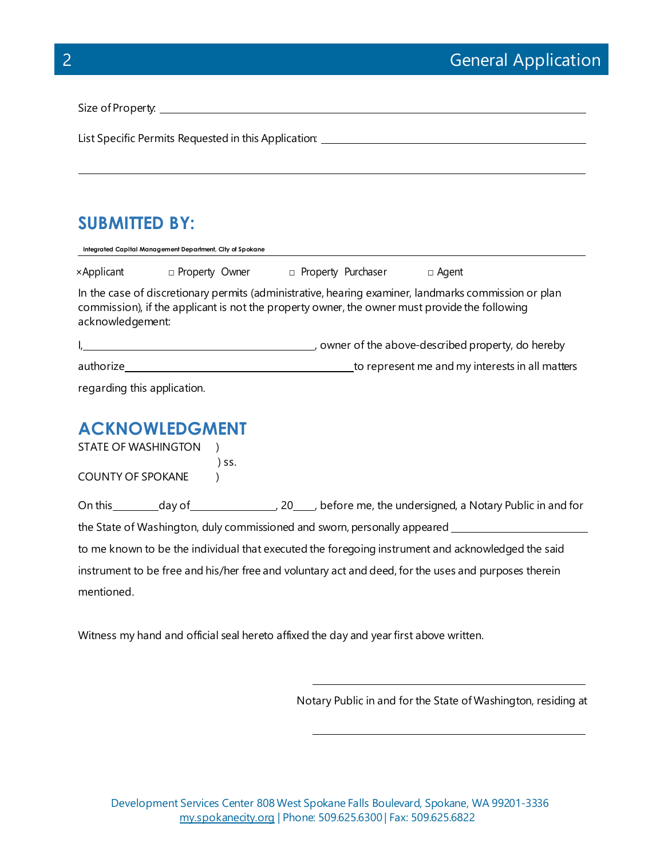Size of Property:

List Specific Permits Requested in this Application:

### **SUBMITTED BY:**

| Integrated Capital Management Department, City of Spokane                                                                                                                                                                 |                       |  |                             |  |                                                     |  |
|---------------------------------------------------------------------------------------------------------------------------------------------------------------------------------------------------------------------------|-----------------------|--|-----------------------------|--|-----------------------------------------------------|--|
| ×Applicant                                                                                                                                                                                                                | □ Property Owner      |  | <b>D</b> Property Purchaser |  | $\Box$ Agent                                        |  |
| In the case of discretionary permits (administrative, hearing examiner, landmarks commission or plan<br>commission), if the applicant is not the property owner, the owner must provide the following<br>acknowledgement: |                       |  |                             |  |                                                     |  |
|                                                                                                                                                                                                                           |                       |  |                             |  | ∟, owner of the above-described property, do hereby |  |
| authorize                                                                                                                                                                                                                 |                       |  |                             |  | to represent me and my interests in all matters     |  |
| regarding this application.                                                                                                                                                                                               |                       |  |                             |  |                                                     |  |
|                                                                                                                                                                                                                           | <b>PENOMIEDC MENT</b> |  |                             |  |                                                     |  |

### **ACKNOWLEDGMENT**

STATE OF WASHINGTON ) ) ss. COUNTY OF SPOKANE )

On this day of 100 km  $\sim$  20 , before me, the undersigned, a Notary Public in and for the State of Washington, duly commissioned and sworn, personally appeared

to me known to be the individual that executed the foregoing instrument and acknowledged the said instrument to be free and his/her free and voluntary act and deed, for the uses and purposes therein mentioned.

Witness my hand and official seal hereto affixed the day and year first above written.

Notary Public in and for the State of Washington, residing at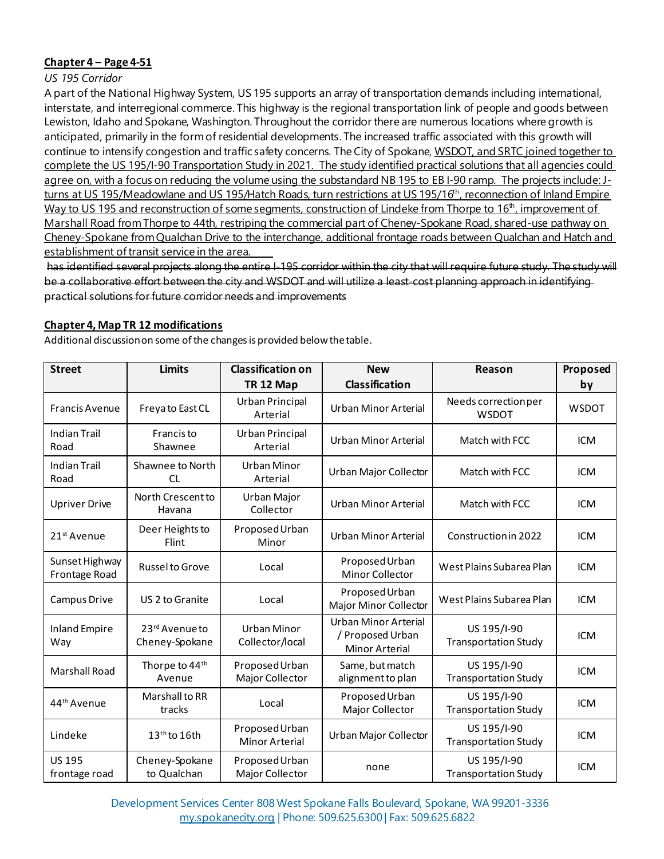#### **Chapter 4 – Page 4-51**

#### *US 195 Corridor*

A part of the National Highway System, US 195 supports an array of transportation demands including international, interstate, and interregional commerce. This highway is the regional transportation link of people and goods between Lewiston, Idaho and Spokane, Washington. Throughout the corridor there are numerous locations where growth is anticipated, primarily in the form of residential developments. The increased traffic associated with this growth will continue to intensify congestion and traffic safety concerns. The City of Spokane, WSDOT, and SRTC joined together to complete the US 195/I-90 Transportation Study in 2021. The study identified practical solutions that all agencies could agree on, with a focus on reducing the volume using the substandard NB 195 to EB I-90 ramp. The projects include: Jturns at US 195/Meadowlane and US 195/Hatch Roads, turn restrictions at US 195/16<sup>th</sup>, reconnection of Inland Empire Way to US 195 and reconstruction of some segments, construction of Lindeke from Thorpe to 16<sup>th</sup>, improvement of Marshall Road from Thorpe to 44th, restriping the commercial part of Cheney-Spokane Road, shared-use pathway on Cheney-Spokane from Qualchan Drive to the interchange, additional frontage roads between Qualchan and Hatch and establishment of transit service in the area.

has identified several projects along the entire I-195 corridor within the city that will require future study. The study will be a collaborative effort between the city and WSDOT and will utilize a least-cost planning approach in identifying practical solutions for future corridor needs and improvements

#### **Chapter 4, Map TR 12 modifications**

Additional discussion on some of the changes is provided below the table.

| <b>Street</b>                   | <b>Limits</b>                    | <b>Classification on</b>          | <b>New</b>                                                 | Reason                                     | Proposed     |
|---------------------------------|----------------------------------|-----------------------------------|------------------------------------------------------------|--------------------------------------------|--------------|
|                                 |                                  | TR <sub>12</sub> Map              | <b>Classification</b>                                      |                                            | by           |
| <b>Francis Avenue</b>           | Freya to East CL                 | Urban Principal<br>Arterial       | Urban Minor Arterial                                       | Needs correction per<br><b>WSDOT</b>       | <b>WSDOT</b> |
| <b>Indian Trail</b><br>Road     | Francis to<br>Shawnee            | Urban Principal<br>Arterial       | Urban Minor Arterial                                       | Match with FCC                             | <b>ICM</b>   |
| <b>Indian Trail</b><br>Road     | Shawnee to North<br><b>CL</b>    | <b>Urban Minor</b><br>Arterial    | Urban Major Collector                                      | Match with FCC                             | <b>ICM</b>   |
| <b>Upriver Drive</b>            | North Crescent to<br>Havana      | Urban Major<br>Collector          | Urban Minor Arterial                                       | Match with FCC                             | <b>ICM</b>   |
| 21 <sup>st</sup> Avenue         | Deer Heights to<br>Flint         | Proposed Urban<br>Minor           | Urban Minor Arterial                                       | Construction in 2022                       | <b>ICM</b>   |
| Sunset Highway<br>Frontage Road | Russel to Grove                  | Local                             | Proposed Urban<br><b>Minor Collector</b>                   | West Plains Subarea Plan                   | <b>ICM</b>   |
| Campus Drive                    | US 2 to Granite                  | Local                             | Proposed Urban<br>Major Minor Collector                    | West Plains Subarea Plan                   | <b>ICM</b>   |
| <b>Inland Empire</b><br>Way     | 23rd Avenue to<br>Cheney-Spokane | Urban Minor<br>Collector/local    | Urban Minor Arterial<br>/ Proposed Urban<br>Minor Arterial | US 195/I-90<br><b>Transportation Study</b> | <b>ICM</b>   |
| Marshall Road                   | Thorpe to 44th<br>Avenue         | Proposed Urban<br>Major Collector | Same, but match<br>alignment to plan                       | US 195/I-90<br><b>Transportation Study</b> | <b>ICM</b>   |
| 44 <sup>th</sup> Avenue         | Marshall to RR<br>tracks         | Local                             | Proposed Urban<br>Major Collector                          | US 195/I-90<br><b>Transportation Study</b> | <b>ICM</b>   |
| Lindeke                         | $13th$ to 16th                   | Proposed Urban<br>Minor Arterial  | Urban Major Collector                                      | US 195/I-90<br><b>Transportation Study</b> | <b>ICM</b>   |
| <b>US 195</b><br>frontage road  | Cheney-Spokane<br>to Qualchan    | Proposed Urban<br>Major Collector | none                                                       | US 195/I-90<br><b>Transportation Study</b> | <b>ICM</b>   |

Development Services Center 808 West Spokane Falls Boulevard, Spokane, WA 99201-3336 [my.spokanecity.org](http://www.spokanecity.org/) | Phone: 509.625.6300 | Fax: 509.625.6822